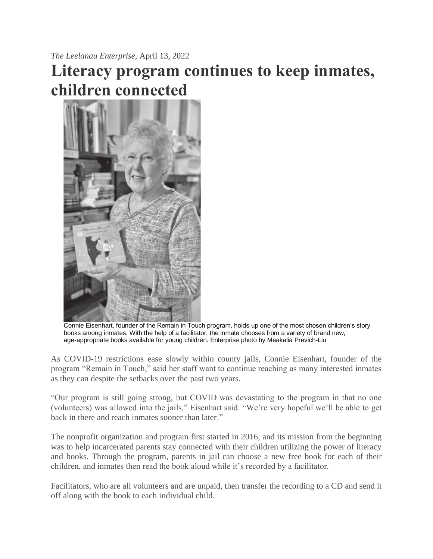*The Leelanau Enterprise*, April 13, 2022

## **Literacy program continues to keep inmates, children connected**



Connie Eisenhart, founder of the Remain in Touch program, holds up one of the most chosen children's story books among inmates. With the help of a facilitator, the inmate chooses from a variety of brand new, age-appropriate books available for young children. Enterprise photo by Meakalia Previch-Liu

As COVID-19 restrictions ease slowly within county jails, Connie Eisenhart, founder of the program "Remain in Touch," said her staff want to continue reaching as many interested inmates as they can despite the setbacks over the past two years.

"Our program is still going strong, but COVID was devastating to the program in that no one (volunteers) was allowed into the jails," Eisenhart said. "We're very hopeful we'll be able to get back in there and reach inmates sooner than later."

The nonprofit organization and program first started in 2016, and its mission from the beginning was to help incarcerated parents stay connected with their children utilizing the power of literacy and books. Through the program, parents in jail can choose a new free book for each of their children, and inmates then read the book aloud while it's recorded by a facilitator.

Facilitators, who are all volunteers and are unpaid, then transfer the recording to a CD and send it off along with the book to each individual child.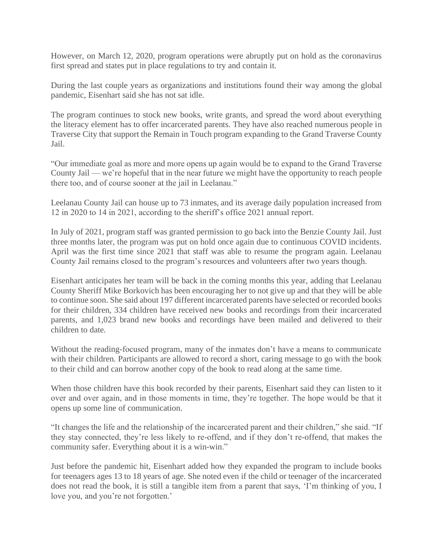However, on March 12, 2020, program operations were abruptly put on hold as the coronavirus first spread and states put in place regulations to try and contain it.

During the last couple years as organizations and institutions found their way among the global pandemic, Eisenhart said she has not sat idle.

The program continues to stock new books, write grants, and spread the word about everything the literacy element has to offer incarcerated parents. They have also reached numerous people in Traverse City that support the Remain in Touch program expanding to the Grand Traverse County Jail.

"Our immediate goal as more and more opens up again would be to expand to the Grand Traverse County Jail — we're hopeful that in the near future we might have the opportunity to reach people there too, and of course sooner at the jail in Leelanau."

Leelanau County Jail can house up to 73 inmates, and its average daily population increased from 12 in 2020 to 14 in 2021, according to the sheriff's office 2021 annual report.

In July of 2021, program staff was granted permission to go back into the Benzie County Jail. Just three months later, the program was put on hold once again due to continuous COVID incidents. April was the first time since 2021 that staff was able to resume the program again. Leelanau County Jail remains closed to the program's resources and volunteers after two years though.

Eisenhart anticipates her team will be back in the coming months this year, adding that Leelanau County Sheriff Mike Borkovich has been encouraging her to not give up and that they will be able to continue soon. She said about 197 different incarcerated parents have selected or recorded books for their children, 334 children have received new books and recordings from their incarcerated parents, and 1,023 brand new books and recordings have been mailed and delivered to their children to date.

Without the reading-focused program, many of the inmates don't have a means to communicate with their children. Participants are allowed to record a short, caring message to go with the book to their child and can borrow another copy of the book to read along at the same time.

When those children have this book recorded by their parents, Eisenhart said they can listen to it over and over again, and in those moments in time, they're together. The hope would be that it opens up some line of communication.

"It changes the life and the relationship of the incarcerated parent and their children," she said. "If they stay connected, they're less likely to re-offend, and if they don't re-offend, that makes the community safer. Everything about it is a win-win."

Just before the pandemic hit, Eisenhart added how they expanded the program to include books for teenagers ages 13 to 18 years of age. She noted even if the child or teenager of the incarcerated does not read the book, it is still a tangible item from a parent that says, 'I'm thinking of you, I love you, and you're not forgotten.'